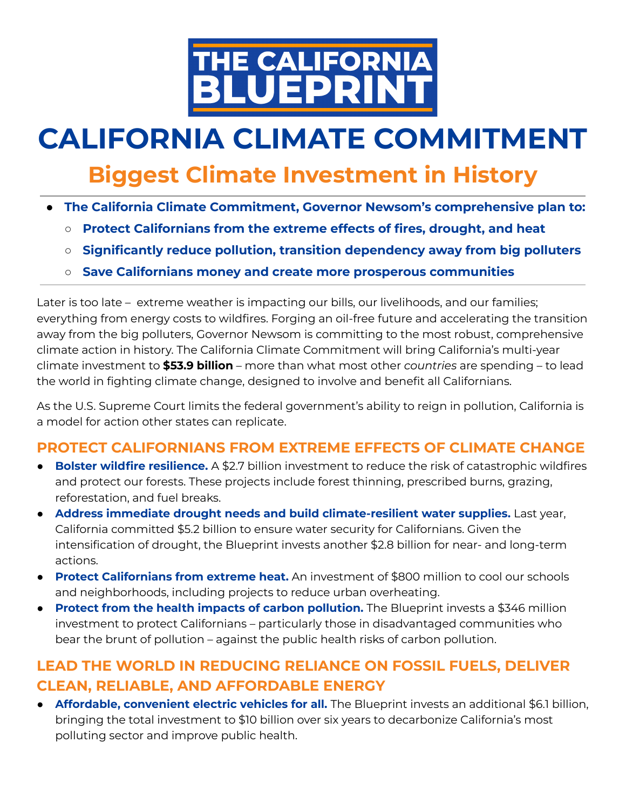

# **CALIFORNIA CLIMATE COMMITMENT**

## **Biggest Climate Investment in History**

- **● The California Climate Commitment, Governor Newsom's comprehensive plan to:**
	- **○ Protect Californians from the extreme effects of fires, drought, and heat**
	- **○ Significantly reduce pollution, transition dependency away from big polluters**
	- **○ Save Californians money and create more prosperous communities**

Later is too late – extreme weather is impacting our bills, our livelihoods, and our families; everything from energy costs to wildfires. Forging an oil-free future and accelerating the transition away from the big polluters, Governor Newsom is committing to the most robust, comprehensive climate action in history. The California Climate Commitment will bring California's multi-year climate investment to **\$53.9 billion** – more than what most other *countries* are spending – to lead the world in fighting climate change, designed to involve and benefit all Californians.

As the U.S. Supreme Court limits the federal government's ability to reign in pollution, California is a model for action other states can replicate.

### **PROTECT CALIFORNIANS FROM EXTREME EFFECTS OF CLIMATE CHANGE**

- **Bolster wildfire resilience.** A \$2.7 billion investment to reduce the risk of catastrophic wildfires and protect our forests. These projects include forest thinning, prescribed burns, grazing, reforestation, and fuel breaks.
- **Address immediate drought needs and build climate-resilient water supplies.** Last year, California committed \$5.2 billion to ensure water security for Californians. Given the intensification of drought, the Blueprint invests another \$2.8 billion for near- and long-term actions.
- **Protect Californians from extreme heat.** An investment of \$800 million to cool our schools and neighborhoods, including projects to reduce urban overheating.
- **Protect from the health impacts of carbon pollution.** The Blueprint invests a \$346 million investment to protect Californians – particularly those in disadvantaged communities who bear the brunt of pollution – against the public health risks of carbon pollution.

### **LEAD THE WORLD IN REDUCING RELIANCE ON FOSSIL FUELS, DELIVER CLEAN, RELIABLE, AND AFFORDABLE ENERGY**

● **Affordable, convenient electric vehicles for all.** The Blueprint invests an additional \$6.1 billion, bringing the total investment to \$10 billion over six years to decarbonize California's most polluting sector and improve public health.